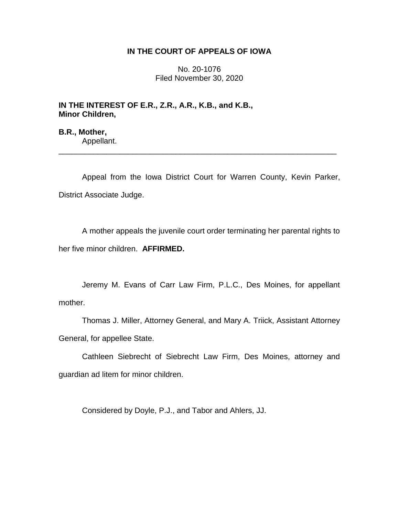# **IN THE COURT OF APPEALS OF IOWA**

No. 20-1076 Filed November 30, 2020

**IN THE INTEREST OF E.R., Z.R., A.R., K.B., and K.B., Minor Children,**

**B.R., Mother,** Appellant.

Appeal from the Iowa District Court for Warren County, Kevin Parker, District Associate Judge.

\_\_\_\_\_\_\_\_\_\_\_\_\_\_\_\_\_\_\_\_\_\_\_\_\_\_\_\_\_\_\_\_\_\_\_\_\_\_\_\_\_\_\_\_\_\_\_\_\_\_\_\_\_\_\_\_\_\_\_\_\_\_\_\_

A mother appeals the juvenile court order terminating her parental rights to her five minor children. **AFFIRMED.**

Jeremy M. Evans of Carr Law Firm, P.L.C., Des Moines, for appellant mother.

Thomas J. Miller, Attorney General, and Mary A. Triick, Assistant Attorney General, for appellee State.

Cathleen Siebrecht of Siebrecht Law Firm, Des Moines, attorney and guardian ad litem for minor children.

Considered by Doyle, P.J., and Tabor and Ahlers, JJ.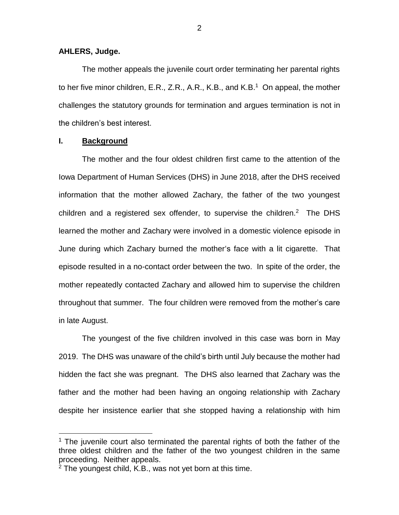### **AHLERS, Judge.**

The mother appeals the juvenile court order terminating her parental rights to her five minor children, E.R., Z.R., A.R., K.B., and K.B.<sup>1</sup> On appeal, the mother challenges the statutory grounds for termination and argues termination is not in the children's best interest.

## **I. Background**

 $\overline{a}$ 

The mother and the four oldest children first came to the attention of the Iowa Department of Human Services (DHS) in June 2018, after the DHS received information that the mother allowed Zachary, the father of the two youngest children and a registered sex offender, to supervise the children.<sup>2</sup> The DHS learned the mother and Zachary were involved in a domestic violence episode in June during which Zachary burned the mother's face with a lit cigarette. That episode resulted in a no-contact order between the two. In spite of the order, the mother repeatedly contacted Zachary and allowed him to supervise the children throughout that summer. The four children were removed from the mother's care in late August.

The youngest of the five children involved in this case was born in May 2019. The DHS was unaware of the child's birth until July because the mother had hidden the fact she was pregnant. The DHS also learned that Zachary was the father and the mother had been having an ongoing relationship with Zachary despite her insistence earlier that she stopped having a relationship with him

 $1$  The juvenile court also terminated the parental rights of both the father of the three oldest children and the father of the two youngest children in the same proceeding. Neither appeals.

 $2$  The youngest child, K.B., was not yet born at this time.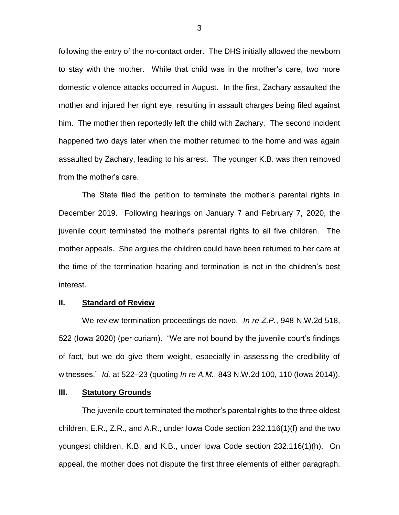following the entry of the no-contact order. The DHS initially allowed the newborn to stay with the mother. While that child was in the mother's care, two more domestic violence attacks occurred in August. In the first, Zachary assaulted the mother and injured her right eye, resulting in assault charges being filed against him. The mother then reportedly left the child with Zachary. The second incident happened two days later when the mother returned to the home and was again assaulted by Zachary, leading to his arrest. The younger K.B. was then removed from the mother's care.

The State filed the petition to terminate the mother's parental rights in December 2019. Following hearings on January 7 and February 7, 2020, the juvenile court terminated the mother's parental rights to all five children. The mother appeals. She argues the children could have been returned to her care at the time of the termination hearing and termination is not in the children's best interest.

#### **II. Standard of Review**

We review termination proceedings de novo. *In re Z.P.*, 948 N.W.2d 518, 522 (Iowa 2020) (per curiam). "We are not bound by the juvenile court's findings of fact, but we do give them weight, especially in assessing the credibility of witnesses." *Id.* at 522–23 (quoting *In re A.M.*, 843 N.W.2d 100, 110 (Iowa 2014)).

#### **III. Statutory Grounds**

The juvenile court terminated the mother's parental rights to the three oldest children, E.R., Z.R., and A.R., under Iowa Code section 232.116(1)(f) and the two youngest children, K.B. and K.B., under Iowa Code section 232.116(1)(h). On appeal, the mother does not dispute the first three elements of either paragraph.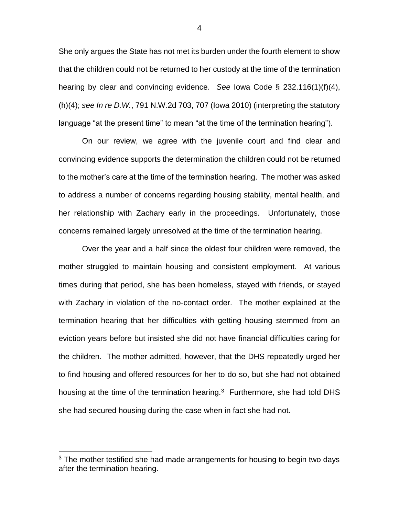She only argues the State has not met its burden under the fourth element to show that the children could not be returned to her custody at the time of the termination hearing by clear and convincing evidence. *See* Iowa Code § 232.116(1)(f)(4), (h)(4); *see In re D.W.*, 791 N.W.2d 703, 707 (Iowa 2010) (interpreting the statutory language "at the present time" to mean "at the time of the termination hearing").

On our review, we agree with the juvenile court and find clear and convincing evidence supports the determination the children could not be returned to the mother's care at the time of the termination hearing. The mother was asked to address a number of concerns regarding housing stability, mental health, and her relationship with Zachary early in the proceedings. Unfortunately, those concerns remained largely unresolved at the time of the termination hearing.

Over the year and a half since the oldest four children were removed, the mother struggled to maintain housing and consistent employment. At various times during that period, she has been homeless, stayed with friends, or stayed with Zachary in violation of the no-contact order. The mother explained at the termination hearing that her difficulties with getting housing stemmed from an eviction years before but insisted she did not have financial difficulties caring for the children. The mother admitted, however, that the DHS repeatedly urged her to find housing and offered resources for her to do so, but she had not obtained housing at the time of the termination hearing. $3$  Furthermore, she had told DHS she had secured housing during the case when in fact she had not.

 $\overline{a}$ 

4

 $3$  The mother testified she had made arrangements for housing to begin two days after the termination hearing.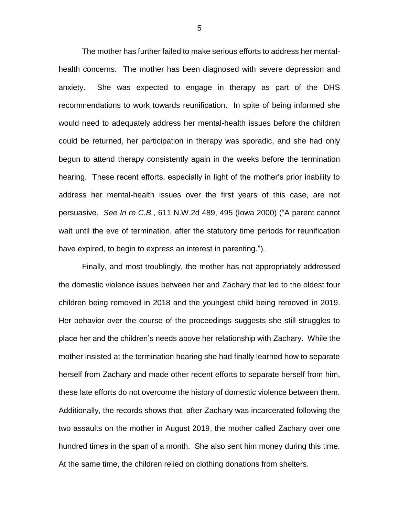The mother has further failed to make serious efforts to address her mentalhealth concerns. The mother has been diagnosed with severe depression and anxiety. She was expected to engage in therapy as part of the DHS recommendations to work towards reunification. In spite of being informed she would need to adequately address her mental-health issues before the children could be returned, her participation in therapy was sporadic, and she had only begun to attend therapy consistently again in the weeks before the termination hearing. These recent efforts, especially in light of the mother's prior inability to address her mental-health issues over the first years of this case, are not persuasive. *See In re C.B.*, 611 N.W.2d 489, 495 (Iowa 2000) ("A parent cannot wait until the eve of termination, after the statutory time periods for reunification have expired, to begin to express an interest in parenting.").

Finally, and most troublingly, the mother has not appropriately addressed the domestic violence issues between her and Zachary that led to the oldest four children being removed in 2018 and the youngest child being removed in 2019. Her behavior over the course of the proceedings suggests she still struggles to place her and the children's needs above her relationship with Zachary. While the mother insisted at the termination hearing she had finally learned how to separate herself from Zachary and made other recent efforts to separate herself from him, these late efforts do not overcome the history of domestic violence between them. Additionally, the records shows that, after Zachary was incarcerated following the two assaults on the mother in August 2019, the mother called Zachary over one hundred times in the span of a month. She also sent him money during this time. At the same time, the children relied on clothing donations from shelters.

5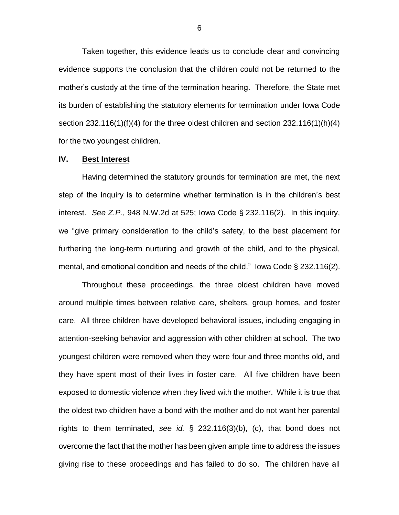Taken together, this evidence leads us to conclude clear and convincing evidence supports the conclusion that the children could not be returned to the mother's custody at the time of the termination hearing. Therefore, the State met its burden of establishing the statutory elements for termination under Iowa Code section 232.116(1)(f)(4) for the three oldest children and section 232.116(1)(h)(4) for the two youngest children.

### **IV. Best Interest**

Having determined the statutory grounds for termination are met, the next step of the inquiry is to determine whether termination is in the children's best interest. *See Z.P.*, 948 N.W.2d at 525; Iowa Code § 232.116(2). In this inquiry, we "give primary consideration to the child's safety, to the best placement for furthering the long-term nurturing and growth of the child, and to the physical, mental, and emotional condition and needs of the child." Iowa Code § 232.116(2).

Throughout these proceedings, the three oldest children have moved around multiple times between relative care, shelters, group homes, and foster care. All three children have developed behavioral issues, including engaging in attention-seeking behavior and aggression with other children at school. The two youngest children were removed when they were four and three months old, and they have spent most of their lives in foster care. All five children have been exposed to domestic violence when they lived with the mother. While it is true that the oldest two children have a bond with the mother and do not want her parental rights to them terminated, *see id.* § 232.116(3)(b), (c), that bond does not overcome the fact that the mother has been given ample time to address the issues giving rise to these proceedings and has failed to do so. The children have all